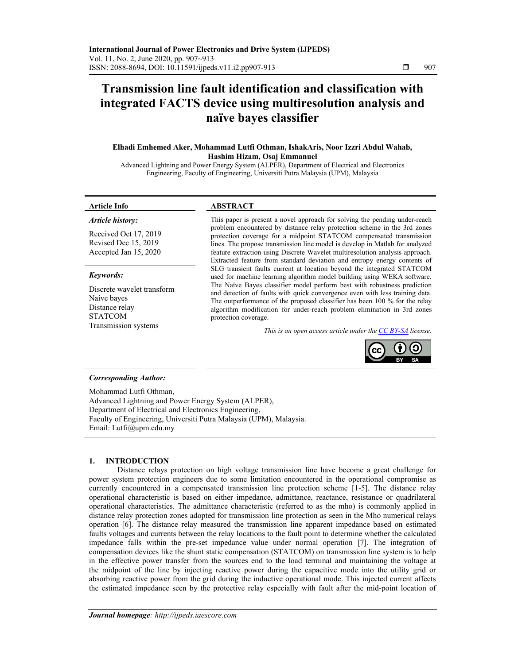# **Transmission line fault identification and classification with integrated FACTS device using multiresolution analysis and naïve bayes classifier**

# **Elhadi Emhemed Aker, Mohammad Lutfi Othman, IshakAris, Noor Izzri Abdul Wahab, Hashim Hizam, Osaj Emmanuel**

Advanced Lightning and Power Energy System (ALPER), Department of Electrical and Electronics Engineering, Faculty of Engineering, Universiti Putra Malaysia (UPM), Malaysia

#### *Article history:*

Received Oct 17, 2019 Revised Dec 15, 2019 Accepted Jan 15, 2020

# *Keywords:*

Discrete wavelet transform Naive bayes Distance relay STATCOM

## **Article Info ABSTRACT**

This paper is present a novel approach for solving the pending under-reach problem encountered by distance relay protection scheme in the 3rd zones protection coverage for a midpoint STATCOM compensated transmission lines. The propose transmission line model is develop in Matlab for analyzed feature extraction using Discrete Wavelet multiresolution analysis approach. Extracted feature from standard deviation and entropy energy contents of SLG transient faults current at location beyond the integrated STATCOM used for machine learning algorithm model building using WEKA software. The Naïve Bayes classifier model perform best with robustness prediction and detection of faults with quick convergence even with less training data. The outperformance of the proposed classifier has been 100 % for the relay algorithm modification for under-reach problem elimination in 3rd zones protection coverage.

Transmission systems *This is an open access article under the CC BY-SA license.* 



### *Corresponding Author:*

Mohammad Lutfi Othman, Advanced Lightning and Power Energy System (ALPER), Department of Electrical and Electronics Engineering, Faculty of Engineering, Universiti Putra Malaysia (UPM), Malaysia. Email: Lutfi@upm.edu.my

#### **1. INTRODUCTION**

Distance relays protection on high voltage transmission line have become a great challenge for power system protection engineers due to some limitation encountered in the operational compromise as currently encountered in a compensated transmission line protection scheme [1-5]. The distance relay operational characteristic is based on either impedance, admittance, reactance, resistance or quadrilateral operational characteristics. The admittance characteristic (referred to as the mho) is commonly applied in distance relay protection zones adopted for transmission line protection as seen in the Mho numerical relays operation [6]. The distance relay measured the transmission line apparent impedance based on estimated faults voltages and currents between the relay locations to the fault point to determine whether the calculated impedance falls within the pre-set impedance value under normal operation [7]. The integration of compensation devices like the shunt static compensation (STATCOM) on transmission line system is to help in the effective power transfer from the sources end to the load terminal and maintaining the voltage at the midpoint of the line by injecting reactive power during the capacitive mode into the utility grid or absorbing reactive power from the grid during the inductive operational mode. This injected current affects the estimated impedance seen by the protective relay especially with fault after the mid-point location of

ֺ֝֡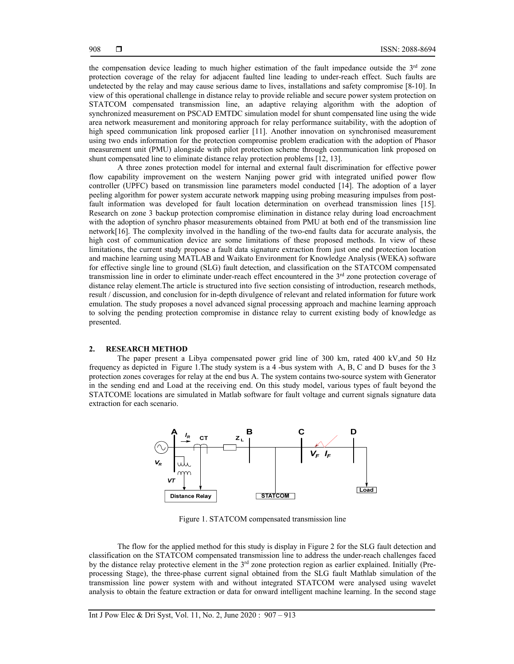the compensation device leading to much higher estimation of the fault impedance outside the  $3<sup>rd</sup>$  zone protection coverage of the relay for adjacent faulted line leading to under-reach effect. Such faults are undetected by the relay and may cause serious dame to lives, installations and safety compromise [8-10]. In view of this operational challenge in distance relay to provide reliable and secure power system protection on STATCOM compensated transmission line, an adaptive relaying algorithm with the adoption of synchronized measurement on PSCAD EMTDC simulation model for shunt compensated line using the wide area network measurement and monitoring approach for relay performance suitability, with the adoption of high speed communication link proposed earlier [11]. Another innovation on synchronised measurement using two ends information for the protection compromise problem eradication with the adoption of Phasor measurement unit (PMU) alongside with pilot protection scheme through communication link proposed on shunt compensated line to eliminate distance relay protection problems [12, 13].

A three zones protection model for internal and external fault discrimination for effective power flow capability improvement on the western Nanjing power grid with integrated unified power flow controller (UPFC) based on transmission line parameters model conducted [14]. The adoption of a layer peeling algorithm for power system accurate network mapping using probing measuring impulses from postfault information was developed for fault location determination on overhead transmission lines [15]. Research on zone 3 backup protection compromise elimination in distance relay during load encroachment with the adoption of synchro phasor measurements obtained from PMU at both end of the transmission line network[16]. The complexity involved in the handling of the two-end faults data for accurate analysis, the high cost of communication device are some limitations of these proposed methods. In view of these limitations, the current study propose a fault data signature extraction from just one end protection location and machine learning using MATLAB and Waikato Environment for Knowledge Analysis (WEKA) software for effective single line to ground (SLG) fault detection, and classification on the STATCOM compensated transmission line in order to eliminate under-reach effect encountered in the 3<sup>rd</sup> zone protection coverage of distance relay element.The article is structured into five section consisting of introduction, research methods, result / discussion, and conclusion for in-depth divulgence of relevant and related information for future work emulation. The study proposes a novel advanced signal processing approach and machine learning approach to solving the pending protection compromise in distance relay to current existing body of knowledge as presented.

### **2. RESEARCH METHOD**

The paper present a Libya compensated power grid line of 300 km, rated 400 kV,and 50 Hz frequency as depicted in Figure 1.The study system is a 4 -bus system with A, B, C and D buses for the 3 protection zones coverages for relay at the end bus A. The system contains two-source system with Generator in the sending end and Load at the receiving end. On this study model, various types of fault beyond the STATCOME locations are simulated in Matlab software for fault voltage and current signals signature data extraction for each scenario.



Figure 1. STATCOM compensated transmission line

The flow for the applied method for this study is display in Figure 2 for the SLG fault detection and classification on the STATCOM compensated transmission line to address the under-reach challenges faced by the distance relay protective element in the  $3<sup>rd</sup>$  zone protection region as earlier explained. Initially (Preprocessing Stage), the three-phase current signal obtained from the SLG fault Mathlab simulation of the transmission line power system with and without integrated STATCOM were analysed using wavelet analysis to obtain the feature extraction or data for onward intelligent machine learning. In the second stage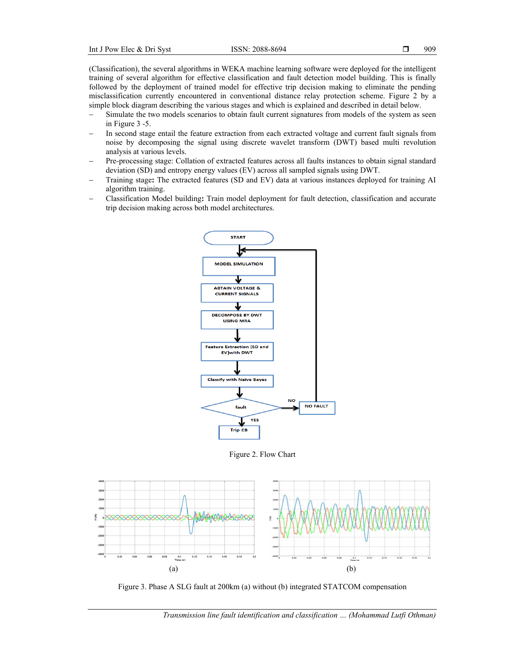(Classification), the several algorithms in WEKA machine learning software were deployed for the intelligent training of several algorithm for effective classification and fault detection model building. This is finally followed by the deployment of trained model for effective trip decision making to eliminate the pending misclassification currently encountered in conventional distance relay protection scheme. Figure 2 by a simple block diagram describing the various stages and which is explained and described in detail below.

- Simulate the two models scenarios to obtain fault current signatures from models of the system as seen in Figure 3 -5.
- In second stage entail the feature extraction from each extracted voltage and current fault signals from noise by decomposing the signal using discrete wavelet transform (DWT) based multi revolution analysis at various levels.
- Pre-processing stage: Collation of extracted features across all faults instances to obtain signal standard deviation (SD) and entropy energy values (EV) across all sampled signals using DWT.
- Training stage**:** The extracted features (SD and EV) data at various instances deployed for training AI algorithm training.
- Classification Model building**:** Train model deployment for fault detection, classification and accurate trip decision making across both model architectures.



Figure 2. Flow Chart



Figure 3. Phase A SLG fault at 200km (a) without (b) integrated STATCOM compensation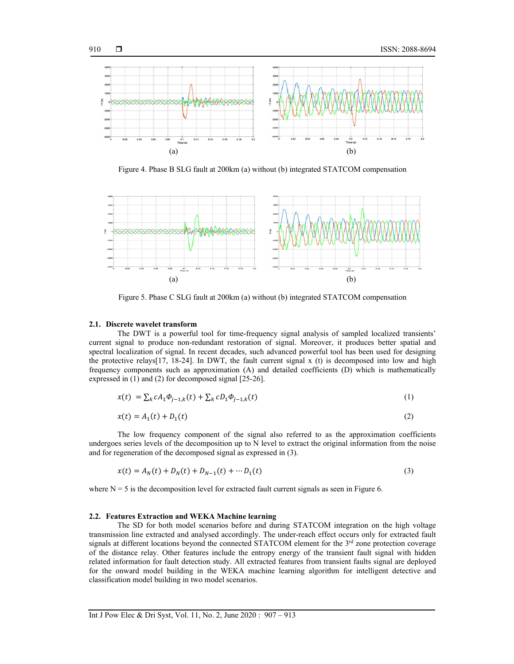

Figure 4. Phase B SLG fault at 200km (a) without (b) integrated STATCOM compensation



Figure 5. Phase C SLG fault at 200km (a) without (b) integrated STATCOM compensation

#### **2.1. Discrete wavelet transform**

The DWT is a powerful tool for time-frequency signal analysis of sampled localized transients' current signal to produce non-redundant restoration of signal. Moreover, it produces better spatial and spectral localization of signal. In recent decades, such advanced powerful tool has been used for designing the protective relays  $[17, 18-24]$ . In DWT, the fault current signal x (t) is decomposed into low and high frequency components such as approximation (A) and detailed coefficients (D) which is mathematically expressed in (1) and (2) for decomposed signal [25-26].

$$
x(t) = \sum_{k} c A_1 \Phi_{j-1,k}(t) + \sum_{k} c D_1 \Phi_{j-1,k}(t)
$$
\n(1)

$$
x(t) = A_1(t) + D_1(t)
$$
 (2)

The low frequency component of the signal also referred to as the approximation coefficients undergoes series levels of the decomposition up to N level to extract the original information from the noise and for regeneration of the decomposed signal as expressed in (3).

$$
x(t) = A_N(t) + D_N(t) + D_{N-1}(t) + \cdots + D_1(t)
$$
\n(3)

where  $N = 5$  is the decomposition level for extracted fault current signals as seen in Figure 6.

#### **2.2. Features Extraction and WEKA Machine learning**

The SD for both model scenarios before and during STATCOM integration on the high voltage transmission line extracted and analysed accordingly. The under-reach effect occurs only for extracted fault signals at different locations beyond the connected STATCOM element for the 3<sup>rd</sup> zone protection coverage of the distance relay. Other features include the entropy energy of the transient fault signal with hidden related information for fault detection study. All extracted features from transient faults signal are deployed for the onward model building in the WEKA machine learning algorithm for intelligent detective and classification model building in two model scenarios.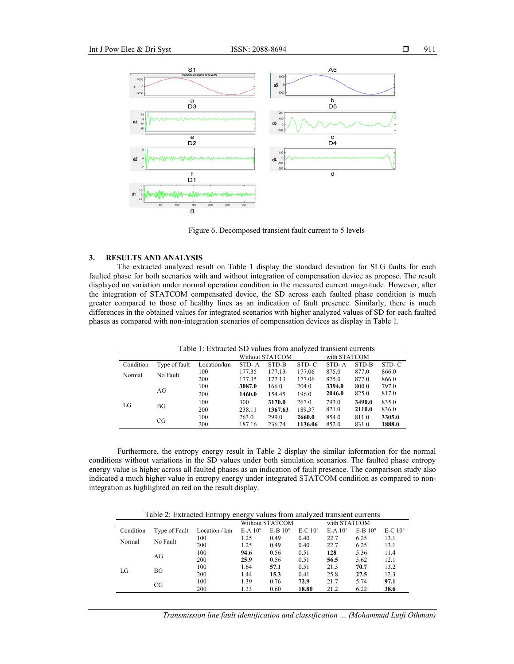

Figure 6. Decomposed transient fault current to 5 levels

# **3. RESULTS AND ANALYSIS**

The extracted analyzed result on Table 1 display the standard deviation for SLG faults for each faulted phase for both scenarios with and without integration of compensation device as propose. The result displayed no variation under normal operation condition in the measured current magnitude. However, after the integration of STATCOM compensated device, the SD across each faulted phase condition is much greater compared to those of healthy lines as an indication of fault presence. Similarly, there is much differences in the obtained values for integrated scenarios with higher analyzed values of SD for each faulted phases as compared with non-integration scenarios of compensation devices as display in Table 1.

Table 1: Extracted SD values from analyzed transient currents

|           |               |             | Without STATCOM |         |         | with STATCOM |        |        |
|-----------|---------------|-------------|-----------------|---------|---------|--------------|--------|--------|
| Condition | Type of fault | Location/km | STD-A           | STD-B   | STD-C   | STD-A        | STD-B  | STD-C  |
| Normal    | No Fault      | 100         | 177.35          | 177.13  | 177.06  | 875.0        | 877.0  | 866.0  |
|           |               | 200         | 177.35          | 177.13  | 177.06  | 875.0        | 877.0  | 866.0  |
| LG        | AG            | 100         | 3087.0          | 166.0   | 204.0   | 3394.0       | 800.0  | 797.0  |
|           |               | 200         | 1460.0          | 154.45  | 196.0   | 2046.0       | 825.0  | 817.0  |
|           | BG            | 100         | 300             | 3170.0  | 267.0   | 793.0        | 3490.0 | 835.0  |
|           |               | 200         | 238.11          | 1367.63 | 189.37  | 821.0        | 2110.0 | 836.0  |
|           | CG            | 100         | 263.0           | 299.0   | 2660.0  | 854.0        | 811.0  | 3305.0 |
|           |               | 200         | 187.16          | 236.74  | 1136.06 | 852.0        | 831.0  | 1888.0 |

Furthermore, the entropy energy result in Table 2 display the similar information for the normal conditions without variations in the SD values under both simulation scenarios. The faulted phase entropy energy value is higher across all faulted phases as an indication of fault presence. The comparison study also indicated a much higher value in entropy energy under integrated STATCOM condition as compared to nonintegration as highlighted on red on the result display.

Table 2: Extracted Entropy energy values from analyzed transient currents

|           |               |               | Without STATCOM       |             |           | with STATCOM          |             |           |
|-----------|---------------|---------------|-----------------------|-------------|-----------|-----------------------|-------------|-----------|
| Condition | Type of Fault | Location / km | $E-A$ 10 <sup>8</sup> | $E-B$ $108$ | $E-C 108$ | $E-A$ 10 <sup>8</sup> | $E-B$ $108$ | $E-C 108$ |
| Normal    | No Fault      | 100           | 1.25                  | 0.49        | 0.40      | 22.7                  | 6.25        | 13.1      |
|           |               | 200           | 1.25                  | 0.49        | 0.40      | 22.7                  | 6.25        | 13.1      |
| LG        | AG            | 100           | 94.6                  | 0.56        | 0.51      | 128                   | 5.36        | 11.4      |
|           |               | 200           | 25.9                  | 0.56        | 0.51      | 56.5                  | 5.62        | 12.1      |
|           | BG            | 100           | 1.64                  | 57.1        | 0.51      | 21.3                  | 70.7        | 13.2      |
|           |               | 200           | 1.44                  | 15.3        | 0.41      | 25.8                  | 27.5        | 12.3      |
|           | CG            | 100           | 1.39                  | 0.76        | 72.9      | 21.7                  | 5.74        | 97.1      |
|           |               | 200           | 1.33                  | 0.60        | 18.80     | 21.2                  | 6.22        | 38.6      |

*Transmission line fault identification and classification … (Mohammad Lutfi Othman)*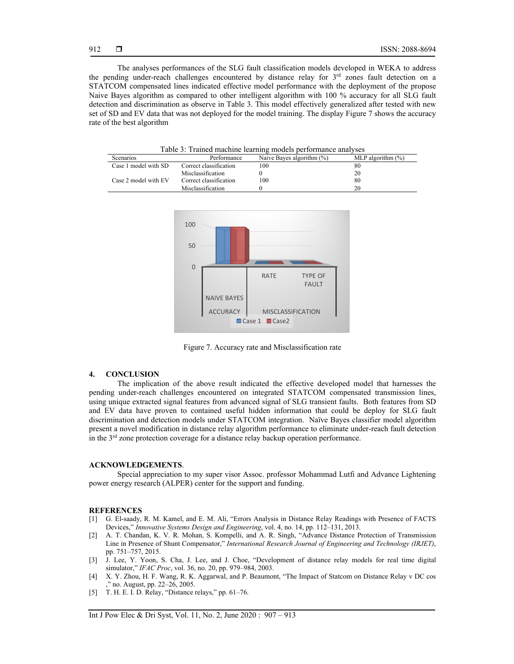The analyses performances of the SLG fault classification models developed in WEKA to address the pending under-reach challenges encountered by distance relay for  $3<sup>rd</sup>$  zones fault detection on a STATCOM compensated lines indicated effective model performance with the deployment of the propose Naive Bayes algorithm as compared to other intelligent algorithm with 100 % accuracy for all SLG fault detection and discrimination as observe in Table 3. This model effectively generalized after tested with new set of SD and EV data that was not deployed for the model training. The display Figure 7 shows the accuracy rate of the best algorithm

Table 3: Trained machine learning models performance analyses

| Taone 9. Trained machine rearning moders performance and yses |                        |                              |                      |  |  |  |  |
|---------------------------------------------------------------|------------------------|------------------------------|----------------------|--|--|--|--|
| <b>Scenarios</b>                                              | Performance            | Naive Baves algorithm $(\%)$ | MLP algorithm $(\%)$ |  |  |  |  |
| Case 1 model with SD                                          | Correct classification | 100                          | 80                   |  |  |  |  |
|                                                               | Misclassification      |                              | 20                   |  |  |  |  |
| Case 2 model with EV                                          | Correct classification | 100                          | 80                   |  |  |  |  |
|                                                               | Misclassification      |                              | 20                   |  |  |  |  |



Figure 7. Accuracy rate and Misclassification rate

#### **4. CONCLUSION**

The implication of the above result indicated the effective developed model that harnesses the pending under-reach challenges encountered on integrated STATCOM compensated transmission lines, using unique extracted signal features from advanced signal of SLG transient faults. Both features from SD and EV data have proven to contained useful hidden information that could be deploy for SLG fault discrimination and detection models under STATCOM integration. Naïve Bayes classifier model algorithm present a novel modification in distance relay algorithm performance to eliminate under-reach fault detection in the 3<sup>rd</sup> zone protection coverage for a distance relay backup operation performance.

#### **ACKNOWLEDGEMENTS**.

Special appreciation to my super visor Assoc. professor Mohammad Lutfi and Advance Lightening power energy research (ALPER) center for the support and funding.

#### **REFERENCES**

- [1] G. El-saady, R. M. Kamel, and E. M. Ali, "Errors Analysis in Distance Relay Readings with Presence of FACTS Devices," *Innovative Systems Design and Engineering*, vol. 4, no. 14, pp. 112–131, 2013.
- [2] A. T. Chandan, K. V. R. Mohan, S. Kompelli, and A. R. Singh, "Advance Distance Protection of Transmission Line in Presence of Shunt Compensator," *International Research Journal of Engineering and Technology (IRJET)*, pp. 751–757, 2015.
- [3] J. Lee, Y. Yoon, S. Cha, J. Lee, and J. Choe, "Development of distance relay models for real time digital simulator," *IFAC Proc*, vol. 36, no. 20, pp. 979–984, 2003.
- [4] X. Y. Zhou, H. F. Wang, R. K. Aggarwal, and P. Beaumont, "The Impact of Statcom on Distance Relay v DC cos no. August, pp. 22–26, 2005.
- [5] T. H. E. I. D. Relay, "Distance relays," pp. 61–76.